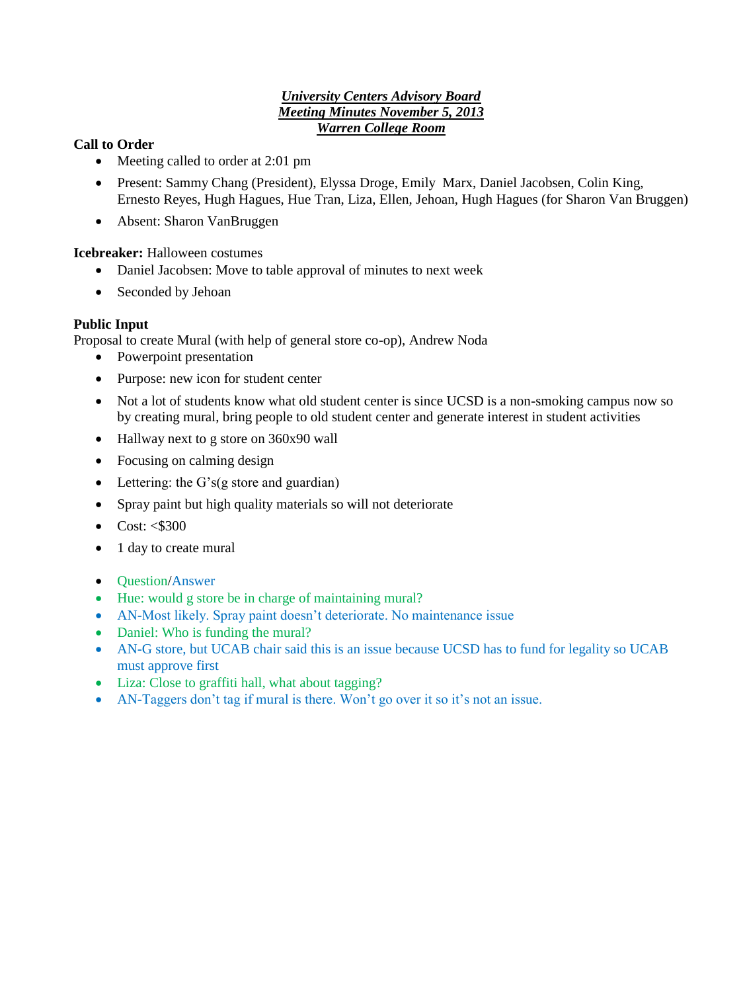### *University Centers Advisory Board Meeting Minutes November 5, 2013 Warren College Room*

## **Call to Order**

- Meeting called to order at 2:01 pm
- Present: Sammy Chang (President), Elyssa Droge, Emily Marx, Daniel Jacobsen, Colin King, Ernesto Reyes, Hugh Hagues, Hue Tran, Liza, Ellen, Jehoan, Hugh Hagues (for Sharon Van Bruggen)
- Absent: Sharon VanBruggen

**Icebreaker:** Halloween costumes

- Daniel Jacobsen: Move to table approval of minutes to next week
- Seconded by Jehoan

## **Public Input**

Proposal to create Mural (with help of general store co-op), Andrew Noda

- Powerpoint presentation
- Purpose: new icon for student center
- Not a lot of students know what old student center is since UCSD is a non-smoking campus now so by creating mural, bring people to old student center and generate interest in student activities
- Hallway next to g store on 360x90 wall
- Focusing on calming design
- Lettering: the G's(g store and guardian)
- Spray paint but high quality materials so will not deteriorate
- $\bullet$  Cost:  $\leq$ \$300
- 1 day to create mural
- Ouestion/Answer
- Hue: would g store be in charge of maintaining mural?
- AN-Most likely. Spray paint doesn't deteriorate. No maintenance issue
- Daniel: Who is funding the mural?
- AN-G store, but UCAB chair said this is an issue because UCSD has to fund for legality so UCAB must approve first
- Liza: Close to graffiti hall, what about tagging?
- AN-Taggers don't tag if mural is there. Won't go over it so it's not an issue.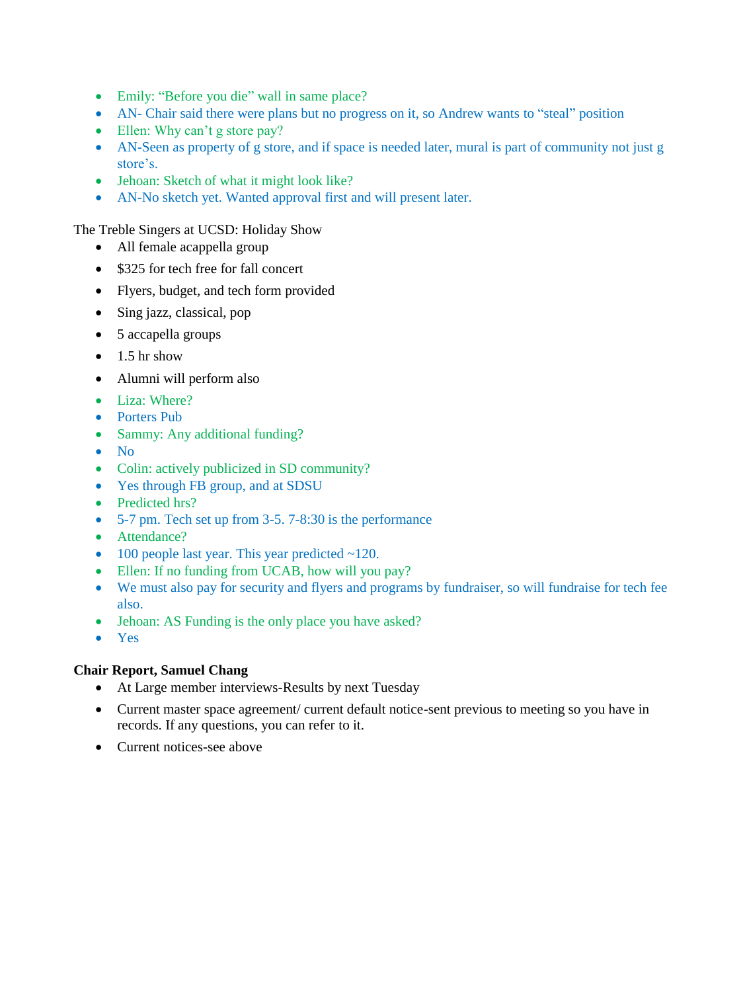- Emily: "Before you die" wall in same place?
- AN- Chair said there were plans but no progress on it, so Andrew wants to "steal" position
- Ellen: Why can't g store pay?
- AN-Seen as property of g store, and if space is needed later, mural is part of community not just g store's.
- Jehoan: Sketch of what it might look like?
- AN-No sketch yet. Wanted approval first and will present later.

The Treble Singers at UCSD: Holiday Show

- All female acappella group
- \$325 for tech free for fall concert
- Flyers, budget, and tech form provided
- Sing jazz, classical, pop
- 5 accapella groups
- $\bullet$  1.5 hr show
- Alumni will perform also
- Liza: Where?
- Porters Pub
- Sammy: Any additional funding?
- $\bullet$  No
- Colin: actively publicized in SD community?
- Yes through FB group, and at SDSU
- Predicted hrs?
- 5-7 pm. Tech set up from 3-5. 7-8:30 is the performance
- Attendance?
- $\bullet$  100 people last year. This year predicted  $\sim$ 120.
- Ellen: If no funding from UCAB, how will you pay?
- We must also pay for security and flyers and programs by fundraiser, so will fundraise for tech fee also.
- Jehoan: AS Funding is the only place you have asked?
- Yes

#### **Chair Report, Samuel Chang**

- At Large member interviews-Results by next Tuesday
- Current master space agreement/ current default notice-sent previous to meeting so you have in records. If any questions, you can refer to it.
- Current notices-see above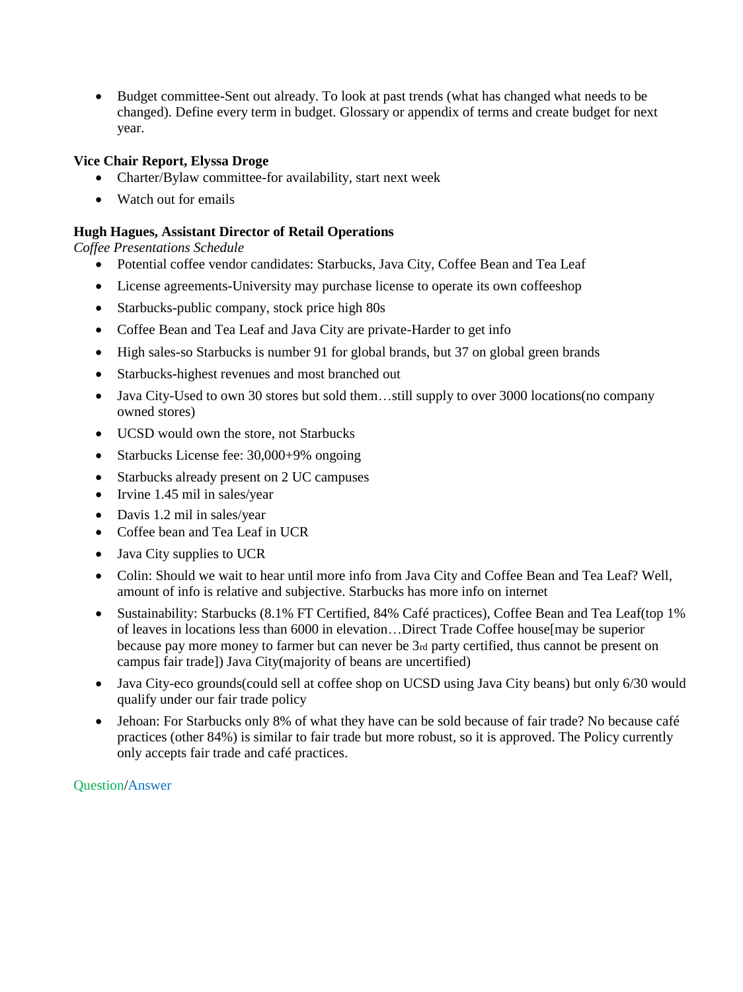Budget committee-Sent out already. To look at past trends (what has changed what needs to be changed). Define every term in budget. Glossary or appendix of terms and create budget for next year.

## **Vice Chair Report, Elyssa Droge**

- Charter/Bylaw committee-for availability, start next week
- Watch out for emails

### **Hugh Hagues, Assistant Director of Retail Operations**

*Coffee Presentations Schedule* 

- Potential coffee vendor candidates: Starbucks, Java City, Coffee Bean and Tea Leaf
- License agreements-University may purchase license to operate its own coffeeshop
- Starbucks-public company, stock price high 80s
- Coffee Bean and Tea Leaf and Java City are private-Harder to get info
- High sales-so Starbucks is number 91 for global brands, but 37 on global green brands
- Starbucks-highest revenues and most branched out
- Java City-Used to own 30 stores but sold them...still supply to over 3000 locations(no company owned stores)
- UCSD would own the store, not Starbucks
- Starbucks License fee: 30,000+9% ongoing
- Starbucks already present on 2 UC campuses
- Irvine 1.45 mil in sales/year
- Davis 1.2 mil in sales/year
- Coffee bean and Tea Leaf in UCR
- Java City supplies to UCR
- Colin: Should we wait to hear until more info from Java City and Coffee Bean and Tea Leaf? Well, amount of info is relative and subjective. Starbucks has more info on internet
- Sustainability: Starbucks (8.1% FT Certified, 84% Café practices), Coffee Bean and Tea Leaf(top 1% of leaves in locations less than 6000 in elevation…Direct Trade Coffee house[may be superior because pay more money to farmer but can never be 3rd party certified, thus cannot be present on campus fair trade]) Java City(majority of beans are uncertified)
- Java City-eco grounds(could sell at coffee shop on UCSD using Java City beans) but only 6/30 would qualify under our fair trade policy
- Jehoan: For Starbucks only 8% of what they have can be sold because of fair trade? No because café practices (other 84%) is similar to fair trade but more robust, so it is approved. The Policy currently only accepts fair trade and café practices.

Question/Answer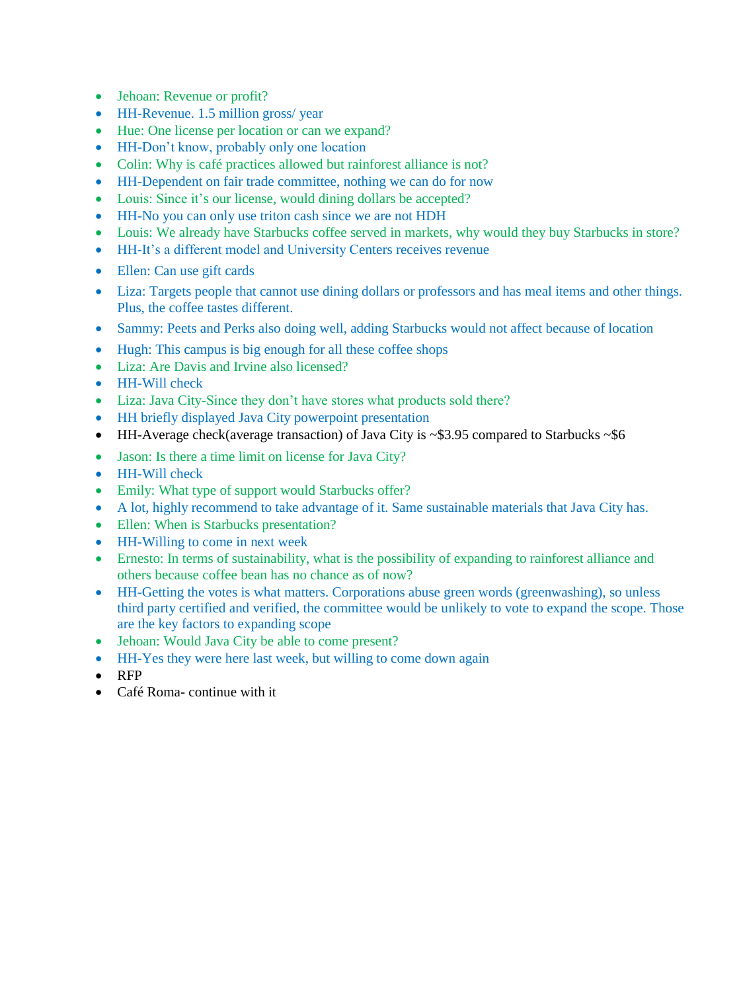- Jehoan: Revenue or profit?
- HH-Revenue. 1.5 million gross/ year
- Hue: One license per location or can we expand?
- HH-Don't know, probably only one location
- Colin: Why is café practices allowed but rainforest alliance is not?
- HH-Dependent on fair trade committee, nothing we can do for now
- Louis: Since it's our license, would dining dollars be accepted?
- HH-No you can only use triton cash since we are not HDH
- Louis: We already have Starbucks coffee served in markets, why would they buy Starbucks in store?
- HH-It's a different model and University Centers receives revenue
- Ellen: Can use gift cards
- Liza: Targets people that cannot use dining dollars or professors and has meal items and other things. Plus, the coffee tastes different.
- Sammy: Peets and Perks also doing well, adding Starbucks would not affect because of location
- Hugh: This campus is big enough for all these coffee shops
- Liza: Are Davis and Irvine also licensed?
- HH-Will check
- Liza: Java City-Since they don't have stores what products sold there?
- HH briefly displayed Java City powerpoint presentation
- HH-Average check(average transaction) of Java City is ~\$3.95 compared to Starbucks ~\$6
- Jason: Is there a time limit on license for Java City?
- HH-Will check
- Emily: What type of support would Starbucks offer?
- A lot, highly recommend to take advantage of it. Same sustainable materials that Java City has.
- Ellen: When is Starbucks presentation?
- HH-Willing to come in next week
- Ernesto: In terms of sustainability, what is the possibility of expanding to rainforest alliance and others because coffee bean has no chance as of now?
- HH-Getting the votes is what matters. Corporations abuse green words (greenwashing), so unless third party certified and verified, the committee would be unlikely to vote to expand the scope. Those are the key factors to expanding scope
- Jehoan: Would Java City be able to come present?
- HH-Yes they were here last week, but willing to come down again
- RFP
- Café Roma- continue with it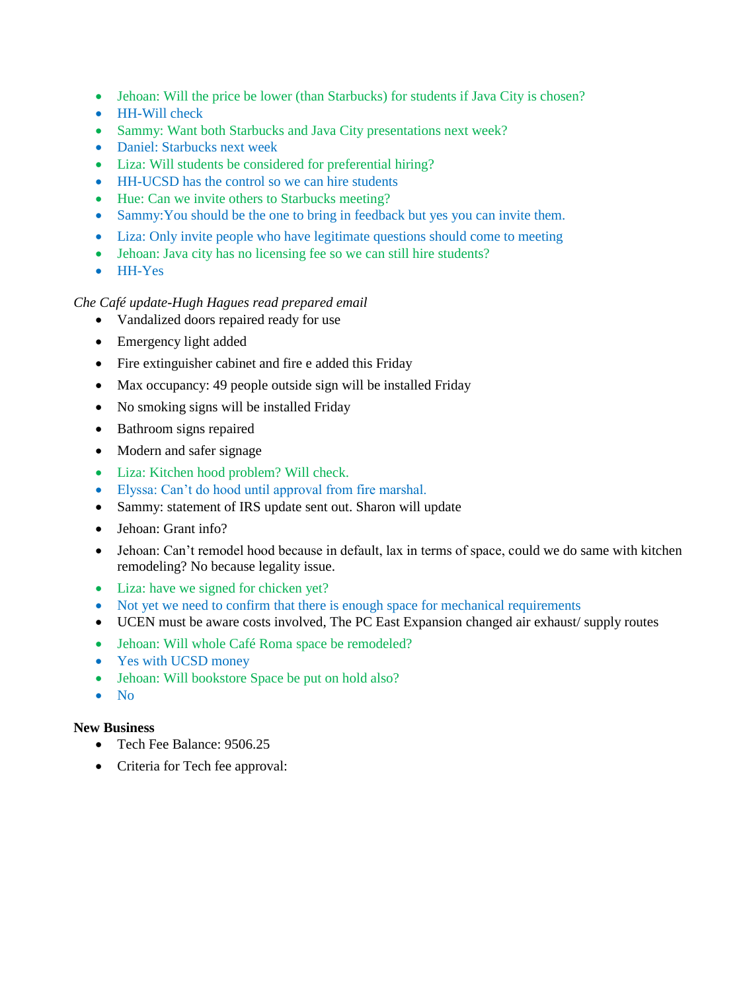- Jehoan: Will the price be lower (than Starbucks) for students if Java City is chosen?
- HH-Will check
- Sammy: Want both Starbucks and Java City presentations next week?
- Daniel: Starbucks next week
- Liza: Will students be considered for preferential hiring?
- HH-UCSD has the control so we can hire students
- Hue: Can we invite others to Starbucks meeting?
- Sammy:You should be the one to bring in feedback but yes you can invite them.
- Liza: Only invite people who have legitimate questions should come to meeting
- Jehoan: Java city has no licensing fee so we can still hire students?
- HH-Yes

### *Che Café update-Hugh Hagues read prepared email*

- Vandalized doors repaired ready for use
- Emergency light added
- Fire extinguisher cabinet and fire e added this Friday
- Max occupancy: 49 people outside sign will be installed Friday
- No smoking signs will be installed Friday
- Bathroom signs repaired
- Modern and safer signage
- Liza: Kitchen hood problem? Will check.
- Elyssa: Can't do hood until approval from fire marshal.
- Sammy: statement of IRS update sent out. Sharon will update
- Jehoan: Grant info?
- Jehoan: Can't remodel hood because in default, lax in terms of space, could we do same with kitchen remodeling? No because legality issue.
- Liza: have we signed for chicken yet?
- Not yet we need to confirm that there is enough space for mechanical requirements
- UCEN must be aware costs involved, The PC East Expansion changed air exhaust/ supply routes
- Jehoan: Will whole Café Roma space be remodeled?
- Yes with UCSD money
- Jehoan: Will bookstore Space be put on hold also?
- $\bullet$  No

#### **New Business**

- Tech Fee Balance: 9506.25
- Criteria for Tech fee approval: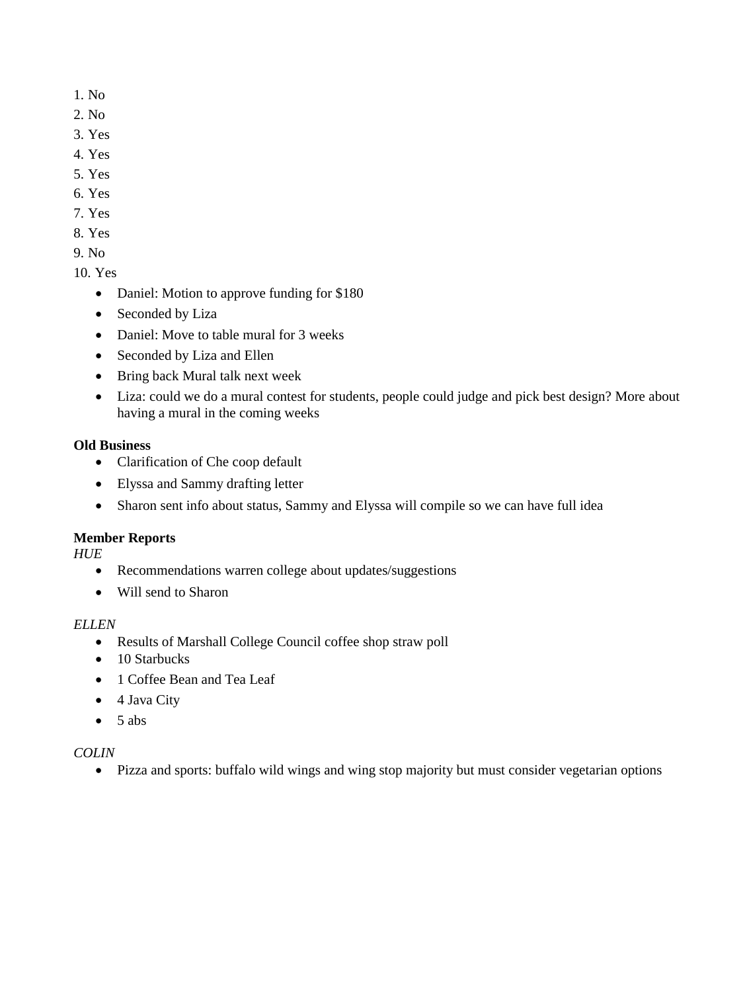- 1. No
- 2. No
- 3. Yes
- 4. Yes
- 5. Yes
- 6. Yes
- 7. Yes
- 8. Yes
- 9. No
- 10. Yes
	- Daniel: Motion to approve funding for \$180
	- Seconded by Liza
	- Daniel: Move to table mural for 3 weeks
	- Seconded by Liza and Ellen
	- Bring back Mural talk next week
	- Liza: could we do a mural contest for students, people could judge and pick best design? More about having a mural in the coming weeks

# **Old Business**

- Clarification of Che coop default
- Elyssa and Sammy drafting letter
- Sharon sent info about status, Sammy and Elyssa will compile so we can have full idea

# **Member Reports**

*HUE* 

- Recommendations warren college about updates/suggestions
- Will send to Sharon

## *ELLEN*

- Results of Marshall College Council coffee shop straw poll
- 10 Starbucks
- 1 Coffee Bean and Tea Leaf
- $\bullet$  4 Java City
- $\bullet$  5 abs

# *COLIN*

Pizza and sports: buffalo wild wings and wing stop majority but must consider vegetarian options